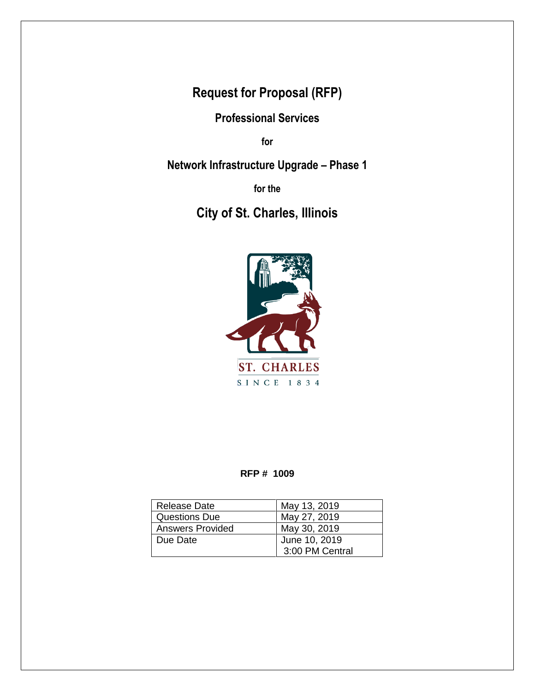**Request for Proposal (RFP)**

**Professional Services**

**for**

**Network Infrastructure Upgrade – Phase 1**

**for the**

# **City of St. Charles, Illinois**



#### **RFP # 1009**

| <b>Release Date</b>     | May 13, 2019    |
|-------------------------|-----------------|
| <b>Questions Due</b>    | May 27, 2019    |
| <b>Answers Provided</b> | May 30, 2019    |
| Due Date                | June 10, 2019   |
|                         | 3:00 PM Central |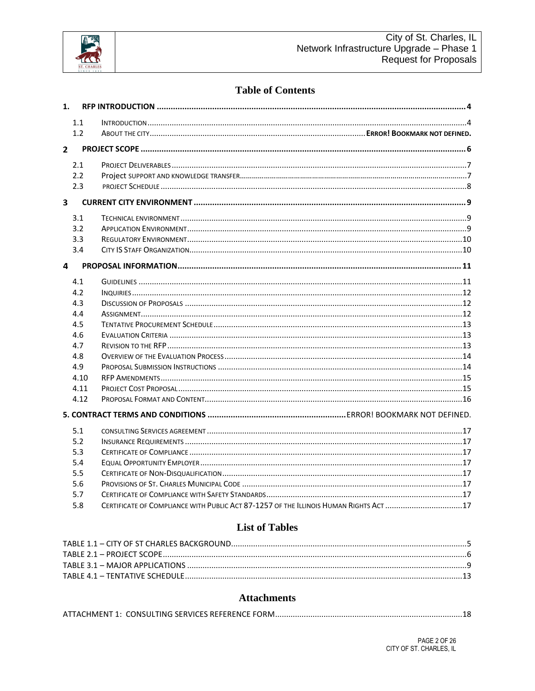

# **Table of Contents**

| 1.                      |      |                                                                                       |  |
|-------------------------|------|---------------------------------------------------------------------------------------|--|
|                         | 1.1  |                                                                                       |  |
|                         | 1.2  |                                                                                       |  |
|                         |      |                                                                                       |  |
| 2 <sup>1</sup>          |      |                                                                                       |  |
|                         | 2.1  |                                                                                       |  |
|                         | 2.2  |                                                                                       |  |
|                         | 2.3  |                                                                                       |  |
| $\overline{\mathbf{3}}$ |      |                                                                                       |  |
|                         |      |                                                                                       |  |
|                         | 3.1  |                                                                                       |  |
|                         | 3.2  |                                                                                       |  |
|                         | 3.3  |                                                                                       |  |
|                         | 3.4  |                                                                                       |  |
| 4                       |      |                                                                                       |  |
|                         | 4.1  |                                                                                       |  |
|                         | 4.2  |                                                                                       |  |
|                         | 4.3  |                                                                                       |  |
|                         | 4.4  |                                                                                       |  |
|                         | 4.5  |                                                                                       |  |
|                         | 4.6  |                                                                                       |  |
|                         | 4.7  |                                                                                       |  |
|                         | 4.8  |                                                                                       |  |
|                         | 4.9  |                                                                                       |  |
|                         | 4.10 |                                                                                       |  |
|                         | 4.11 |                                                                                       |  |
|                         | 4.12 |                                                                                       |  |
|                         |      |                                                                                       |  |
|                         | 5.1  |                                                                                       |  |
|                         | 5.2  |                                                                                       |  |
|                         | 5.3  |                                                                                       |  |
|                         | 5.4  |                                                                                       |  |
|                         | 5.5  |                                                                                       |  |
|                         | 5.6  |                                                                                       |  |
|                         | 5.7  |                                                                                       |  |
|                         | 5.8  | CERTIFICATE OF COMPLIANCE WITH PUBLIC ACT 87-1257 OF THE ILLINOIS HUMAN RIGHTS ACT 17 |  |

# **List of Tables**

#### **Attachments**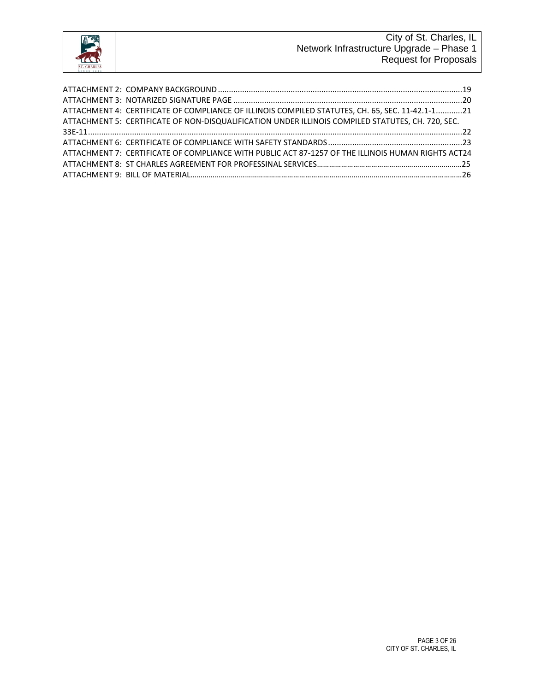

| ATTACHMENT 4: CERTIFICATE OF COMPLIANCE OF ILLINOIS COMPILED STATUTES, CH. 65, SEC. 11-42.1-121    |  |
|----------------------------------------------------------------------------------------------------|--|
| ATTACHMENT 5: CERTIFICATE OF NON-DISQUALIFICATION UNDER ILLINOIS COMPILED STATUTES, CH. 720, SEC.  |  |
|                                                                                                    |  |
|                                                                                                    |  |
| ATTACHMENT 7: CERTIFICATE OF COMPLIANCE WITH PUBLIC ACT 87-1257 OF THE ILLINOIS HUMAN RIGHTS ACT24 |  |
|                                                                                                    |  |
|                                                                                                    |  |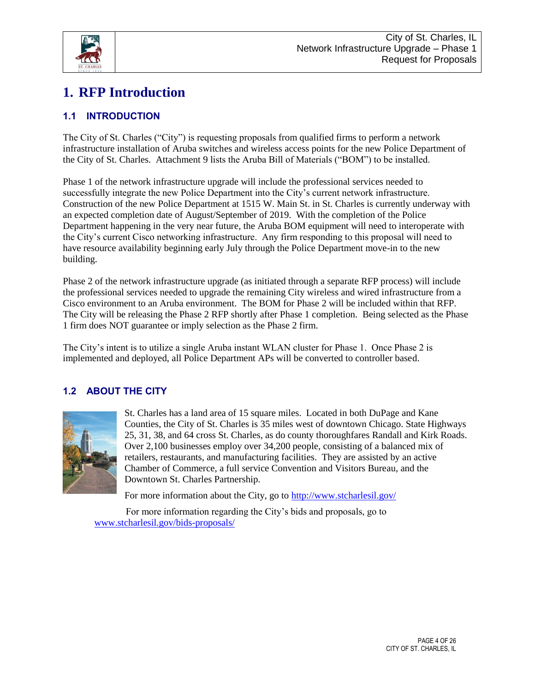

# **1. RFP Introduction**

# **1.1 INTRODUCTION**

The City of St. Charles ("City") is requesting proposals from qualified firms to perform a network infrastructure installation of Aruba switches and wireless access points for the new Police Department of the City of St. Charles. Attachment 9 lists the Aruba Bill of Materials ("BOM") to be installed.

Phase 1 of the network infrastructure upgrade will include the professional services needed to successfully integrate the new Police Department into the City's current network infrastructure. Construction of the new Police Department at 1515 W. Main St. in St. Charles is currently underway with an expected completion date of August/September of 2019. With the completion of the Police Department happening in the very near future, the Aruba BOM equipment will need to interoperate with the City's current Cisco networking infrastructure. Any firm responding to this proposal will need to have resource availability beginning early July through the Police Department move-in to the new building.

Phase 2 of the network infrastructure upgrade (as initiated through a separate RFP process) will include the professional services needed to upgrade the remaining City wireless and wired infrastructure from a Cisco environment to an Aruba environment. The BOM for Phase 2 will be included within that RFP. The City will be releasing the Phase 2 RFP shortly after Phase 1 completion. Being selected as the Phase 1 firm does NOT guarantee or imply selection as the Phase 2 firm.

The City's intent is to utilize a single Aruba instant WLAN cluster for Phase 1. Once Phase 2 is implemented and deployed, all Police Department APs will be converted to controller based.

# **1.2 ABOUT THE CITY**



St. Charles has a land area of 15 square miles. Located in both DuPage and Kane Counties, the City of St. Charles is 35 miles west of downtown Chicago. State Highways 25, 31, 38, and 64 cross St. Charles, as do county thoroughfares Randall and Kirk Roads. Over 2,100 businesses employ over 34,200 people, consisting of a balanced mix of retailers, restaurants, and manufacturing facilities. They are assisted by an active Chamber of Commerce, a full service Convention and Visitors Bureau, and the Downtown St. Charles Partnership.

For more information about the City, go to<http://www.stcharlesil.gov/>

<span id="page-3-0"></span>For more information regarding the City's bids and proposals, go to [www.stcharlesil.gov/bids-proposals/](https://www.stcharlesil.gov/bids-proposals/)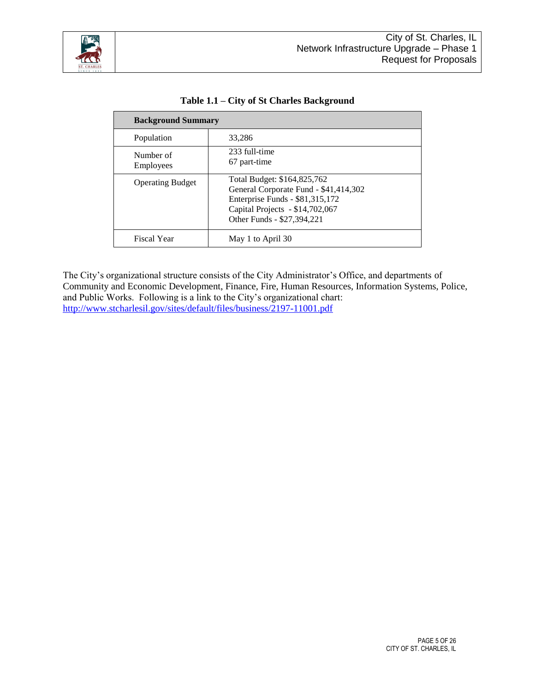

|                         | <b>Background Summary</b>                                                                                                                                                |  |
|-------------------------|--------------------------------------------------------------------------------------------------------------------------------------------------------------------------|--|
| Population              | 33.286                                                                                                                                                                   |  |
| Number of<br>Employees  | 233 full-time<br>67 part-time                                                                                                                                            |  |
| <b>Operating Budget</b> | Total Budget: \$164,825,762<br>General Corporate Fund - \$41,414,302<br>Enterprise Funds - \$81,315,172<br>Capital Projects - \$14,702,067<br>Other Funds - \$27,394,221 |  |
| Fiscal Year             | May 1 to April 30                                                                                                                                                        |  |

**Table 1.1 – City of St Charles Background**

The City's organizational structure consists of the City Administrator's Office, and departments of Community and Economic Development, Finance, Fire, Human Resources, Information Systems, Police, and Public Works. Following is a link to the City's organizational chart: <http://www.stcharlesil.gov/sites/default/files/business/2197-11001.pdf>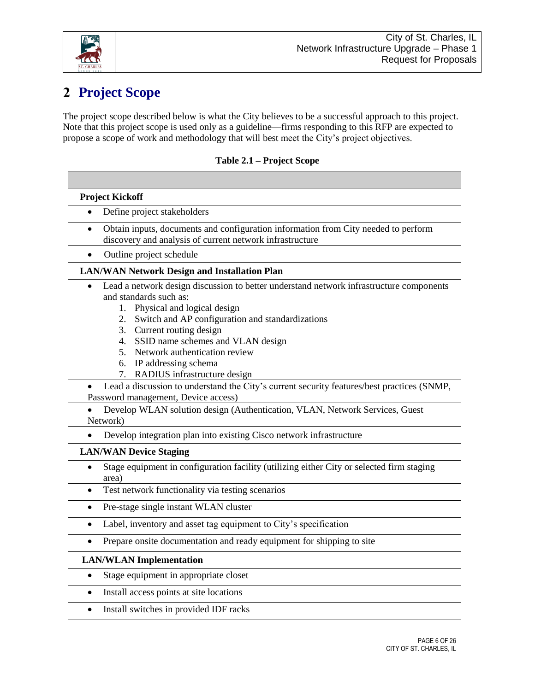

<span id="page-5-0"></span>Г

# **Project Scope**

The project scope described below is what the City believes to be a successful approach to this project. Note that this project scope is used only as a guideline—firms responding to this RFP are expected to propose a scope of work and methodology that will best meet the City's project objectives.

| <b>Project Kickoff</b>                                                                                                                                                                                                                                                                                                                                                                                                                                                                                                                                                                                                               |  |  |
|--------------------------------------------------------------------------------------------------------------------------------------------------------------------------------------------------------------------------------------------------------------------------------------------------------------------------------------------------------------------------------------------------------------------------------------------------------------------------------------------------------------------------------------------------------------------------------------------------------------------------------------|--|--|
| Define project stakeholders<br>$\bullet$                                                                                                                                                                                                                                                                                                                                                                                                                                                                                                                                                                                             |  |  |
| Obtain inputs, documents and configuration information from City needed to perform<br>$\bullet$<br>discovery and analysis of current network infrastructure                                                                                                                                                                                                                                                                                                                                                                                                                                                                          |  |  |
| Outline project schedule                                                                                                                                                                                                                                                                                                                                                                                                                                                                                                                                                                                                             |  |  |
| <b>LAN/WAN Network Design and Installation Plan</b>                                                                                                                                                                                                                                                                                                                                                                                                                                                                                                                                                                                  |  |  |
| Lead a network design discussion to better understand network infrastructure components<br>$\bullet$<br>and standards such as:<br>Physical and logical design<br>1.<br>Switch and AP configuration and standardizations<br>2.<br>3. Current routing design<br>4. SSID name schemes and VLAN design<br>5. Network authentication review<br>6. IP addressing schema<br>7. RADIUS infrastructure design<br>Lead a discussion to understand the City's current security features/best practices (SNMP,<br>Password management, Device access)<br>Develop WLAN solution design (Authentication, VLAN, Network Services, Guest<br>Network) |  |  |
| Develop integration plan into existing Cisco network infrastructure                                                                                                                                                                                                                                                                                                                                                                                                                                                                                                                                                                  |  |  |
| <b>LAN/WAN Device Staging</b>                                                                                                                                                                                                                                                                                                                                                                                                                                                                                                                                                                                                        |  |  |
| Stage equipment in configuration facility (utilizing either City or selected firm staging<br>$\bullet$<br>area)                                                                                                                                                                                                                                                                                                                                                                                                                                                                                                                      |  |  |
| Test network functionality via testing scenarios<br>$\bullet$                                                                                                                                                                                                                                                                                                                                                                                                                                                                                                                                                                        |  |  |
| Pre-stage single instant WLAN cluster<br>$\bullet$                                                                                                                                                                                                                                                                                                                                                                                                                                                                                                                                                                                   |  |  |
| Label, inventory and asset tag equipment to City's specification<br>$\bullet$                                                                                                                                                                                                                                                                                                                                                                                                                                                                                                                                                        |  |  |
| Prepare onsite documentation and ready equipment for shipping to site<br>$\bullet$                                                                                                                                                                                                                                                                                                                                                                                                                                                                                                                                                   |  |  |
| <b>LAN/WLAN</b> Implementation                                                                                                                                                                                                                                                                                                                                                                                                                                                                                                                                                                                                       |  |  |
| Stage equipment in appropriate closet<br>$\bullet$                                                                                                                                                                                                                                                                                                                                                                                                                                                                                                                                                                                   |  |  |
| Install access points at site locations<br>$\bullet$                                                                                                                                                                                                                                                                                                                                                                                                                                                                                                                                                                                 |  |  |
| Install switches in provided IDF racks<br>$\bullet$                                                                                                                                                                                                                                                                                                                                                                                                                                                                                                                                                                                  |  |  |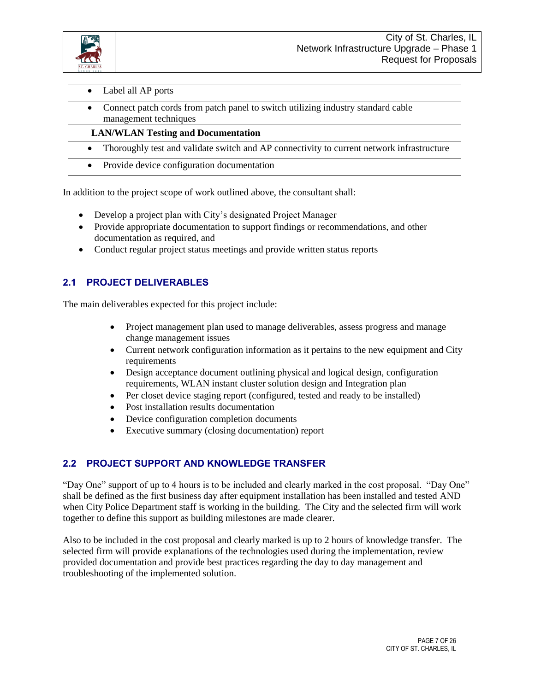

| Label all AP ports<br>$\bullet$                                                                                        |
|------------------------------------------------------------------------------------------------------------------------|
| Connect patch cords from patch panel to switch utilizing industry standard cable<br>$\bullet$<br>management techniques |
| <b>LAN/WLAN Testing and Documentation</b>                                                                              |
| Thoroughly test and validate switch and AP connectivity to current network infrastructure<br>$\bullet$                 |
| Provide device configuration documentation<br>$\bullet$                                                                |
|                                                                                                                        |

In addition to the project scope of work outlined above, the consultant shall:

- Develop a project plan with City's designated Project Manager
- Provide appropriate documentation to support findings or recommendations, and other documentation as required, and
- Conduct regular project status meetings and provide written status reports

# **2.1 PROJECT DELIVERABLES**

The main deliverables expected for this project include:

- Project management plan used to manage deliverables, assess progress and manage change management issues
- Current network configuration information as it pertains to the new equipment and City requirements
- Design acceptance document outlining physical and logical design, configuration requirements, WLAN instant cluster solution design and Integration plan
- Per closet device staging report (configured, tested and ready to be installed)
- Post installation results documentation
- Device configuration completion documents
- Executive summary (closing documentation) report

### **2.2 PROJECT SUPPORT AND KNOWLEDGE TRANSFER**

"Day One" support of up to 4 hours is to be included and clearly marked in the cost proposal. "Day One" shall be defined as the first business day after equipment installation has been installed and tested AND when City Police Department staff is working in the building. The City and the selected firm will work together to define this support as building milestones are made clearer.

Also to be included in the cost proposal and clearly marked is up to 2 hours of knowledge transfer. The selected firm will provide explanations of the technologies used during the implementation, review provided documentation and provide best practices regarding the day to day management and troubleshooting of the implemented solution.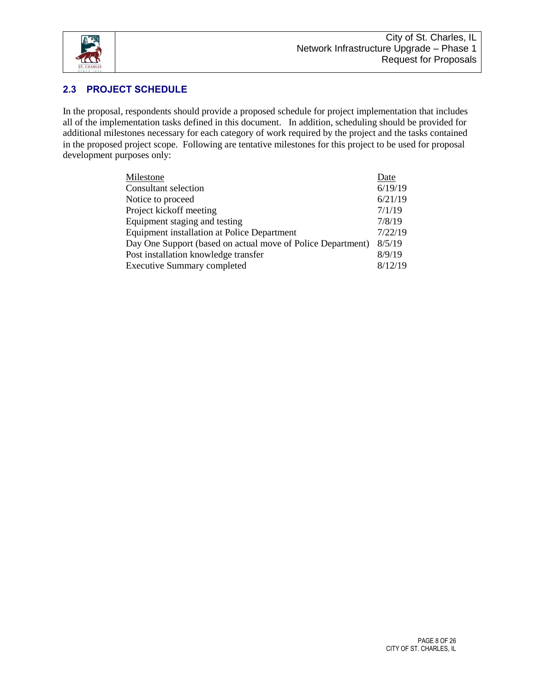

### **2.3 PROJECT SCHEDULE**

In the proposal, respondents should provide a proposed schedule for project implementation that includes all of the implementation tasks defined in this document. In addition, scheduling should be provided for additional milestones necessary for each category of work required by the project and the tasks contained in the proposed project scope. Following are tentative milestones for this project to be used for proposal development purposes only:

| Milestone                                                   | Date    |
|-------------------------------------------------------------|---------|
| Consultant selection                                        | 6/19/19 |
| Notice to proceed                                           | 6/21/19 |
| Project kickoff meeting                                     | 7/1/19  |
| Equipment staging and testing                               | 7/8/19  |
| <b>Equipment installation at Police Department</b>          | 7/22/19 |
| Day One Support (based on actual move of Police Department) | 8/5/19  |
| Post installation knowledge transfer                        | 8/9/19  |
| <b>Executive Summary completed</b>                          | 8/12/19 |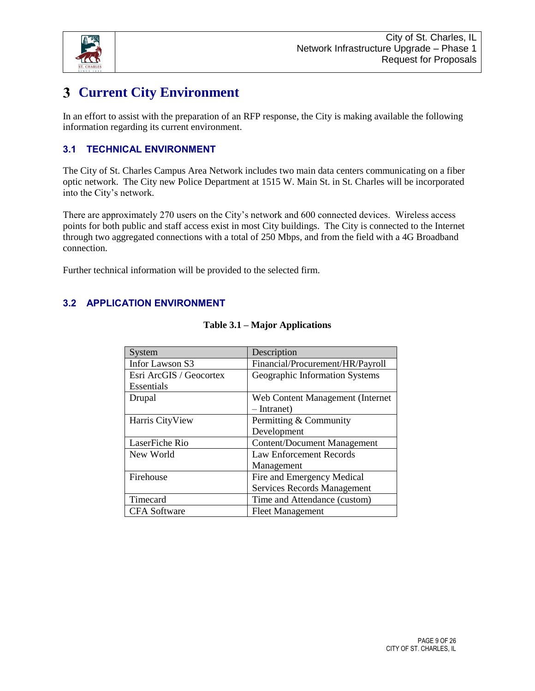

# **Current City Environment**

In an effort to assist with the preparation of an RFP response, the City is making available the following information regarding its current environment.

# **3.1 TECHNICAL ENVIRONMENT**

The City of St. Charles Campus Area Network includes two main data centers communicating on a fiber optic network. The City new Police Department at 1515 W. Main St. in St. Charles will be incorporated into the City's network.

There are approximately 270 users on the City's network and 600 connected devices. Wireless access points for both public and staff access exist in most City buildings. The City is connected to the Internet through two aggregated connections with a total of 250 Mbps, and from the field with a 4G Broadband connection.

Further technical information will be provided to the selected firm.

# <span id="page-8-0"></span>**3.2 APPLICATION ENVIRONMENT**

| System                  | Description                        |
|-------------------------|------------------------------------|
| Infor Lawson S3         | Financial/Procurement/HR/Payroll   |
| Esri ArcGIS / Geocortex | Geographic Information Systems     |
| Essentials              |                                    |
| Drupal                  | Web Content Management (Internet)  |
|                         | $-$ Intranet)                      |
| Harris CityView         | Permitting & Community             |
|                         | Development                        |
| LaserFiche Rio          | <b>Content/Document Management</b> |
| New World               | <b>Law Enforcement Records</b>     |
|                         | Management                         |
| Firehouse               | Fire and Emergency Medical         |
|                         | <b>Services Records Management</b> |
| Timecard                | Time and Attendance (custom)       |
| <b>CFA</b> Software     | <b>Fleet Management</b>            |

#### **Table 3.1 – Major Applications**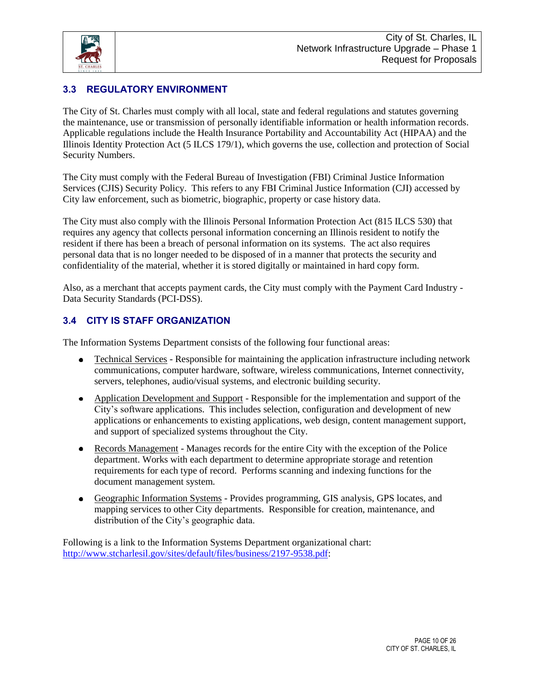

# **3.3 REGULATORY ENVIRONMENT**

The City of St. Charles must comply with all local, state and federal regulations and statutes governing the maintenance, use or transmission of personally identifiable information or health information records. Applicable regulations include the Health Insurance Portability and Accountability Act (HIPAA) and the Illinois Identity Protection Act (5 ILCS 179/1), which governs the use, collection and protection of Social Security Numbers.

The City must comply with the Federal Bureau of Investigation (FBI) Criminal Justice Information Services (CJIS) Security Policy. This refers to any FBI Criminal Justice Information (CJI) accessed by City law enforcement, such as biometric, biographic, property or case history data.

The City must also comply with the Illinois Personal Information Protection Act (815 ILCS 530) that requires any agency that collects personal information concerning an Illinois resident to notify the resident if there has been a breach of personal information on its systems. The act also requires personal data that is no longer needed to be disposed of in a manner that protects the security and confidentiality of the material, whether it is stored digitally or maintained in hard copy form.

Also, as a merchant that accepts payment cards, the City must comply with the Payment Card Industry - Data Security Standards (PCI-DSS).

### **3.4 CITY IS STAFF ORGANIZATION**

The Information Systems Department consists of the following four functional areas:

- $\bullet$ Technical Services - Responsible for maintaining the application infrastructure including network communications, computer hardware, software, wireless communications, Internet connectivity, servers, telephones, audio/visual systems, and electronic building security.
- Application Development and Support Responsible for the implementation and support of the City's software applications. This includes selection, configuration and development of new applications or enhancements to existing applications, web design, content management support, and support of specialized systems throughout the City.
- Records Management Manages records for the entire City with the exception of the Police  $\bullet$ department. Works with each department to determine appropriate storage and retention requirements for each type of record. Performs scanning and indexing functions for the document management system.
- Geographic Information Systems Provides programming, GIS analysis, GPS locates, and mapping services to other City departments. Responsible for creation, maintenance, and distribution of the City's geographic data.

Following is a link to the Information Systems Department organizational chart: [http://www.stcharlesil.gov/sites/default/files/business/2197-9538.pdf:](http://www.stcharlesil.gov/sites/default/files/business/2197-9538.pdf)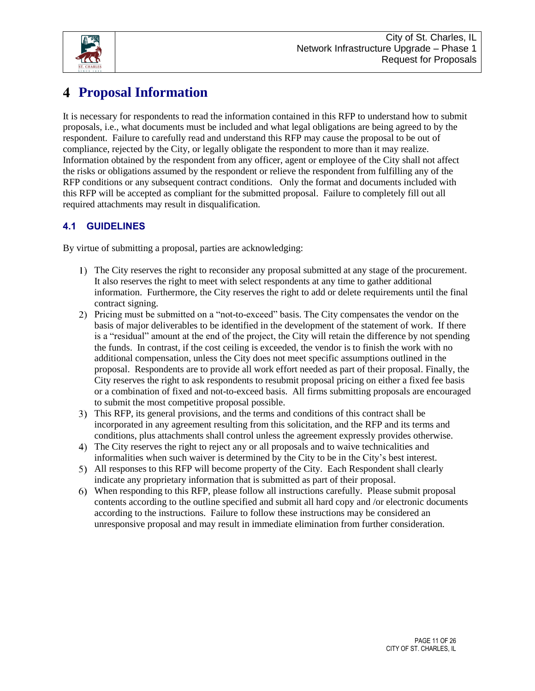

# **Proposal Information**

It is necessary for respondents to read the information contained in this RFP to understand how to submit proposals, i.e., what documents must be included and what legal obligations are being agreed to by the respondent. Failure to carefully read and understand this RFP may cause the proposal to be out of compliance, rejected by the City, or legally obligate the respondent to more than it may realize. Information obtained by the respondent from any officer, agent or employee of the City shall not affect the risks or obligations assumed by the respondent or relieve the respondent from fulfilling any of the RFP conditions or any subsequent contract conditions. Only the format and documents included with this RFP will be accepted as compliant for the submitted proposal. Failure to completely fill out all required attachments may result in disqualification.

# **4.1 GUIDELINES**

By virtue of submitting a proposal, parties are acknowledging:

- The City reserves the right to reconsider any proposal submitted at any stage of the procurement. It also reserves the right to meet with select respondents at any time to gather additional information. Furthermore, the City reserves the right to add or delete requirements until the final contract signing.
- Pricing must be submitted on a "not-to-exceed" basis. The City compensates the vendor on the basis of major deliverables to be identified in the development of the statement of work. If there is a "residual" amount at the end of the project, the City will retain the difference by not spending the funds. In contrast, if the cost ceiling is exceeded, the vendor is to finish the work with no additional compensation, unless the City does not meet specific assumptions outlined in the proposal. Respondents are to provide all work effort needed as part of their proposal. Finally, the City reserves the right to ask respondents to resubmit proposal pricing on either a fixed fee basis or a combination of fixed and not-to-exceed basis. All firms submitting proposals are encouraged to submit the most competitive proposal possible.
- This RFP, its general provisions, and the terms and conditions of this contract shall be incorporated in any agreement resulting from this solicitation, and the RFP and its terms and conditions, plus attachments shall control unless the agreement expressly provides otherwise.
- The City reserves the right to reject any or all proposals and to waive technicalities and informalities when such waiver is determined by the City to be in the City's best interest.
- All responses to this RFP will become property of the City. Each Respondent shall clearly indicate any proprietary information that is submitted as part of their proposal.
- When responding to this RFP, please follow all instructions carefully. Please submit proposal contents according to the outline specified and submit all hard copy and /or electronic documents according to the instructions. Failure to follow these instructions may be considered an unresponsive proposal and may result in immediate elimination from further consideration.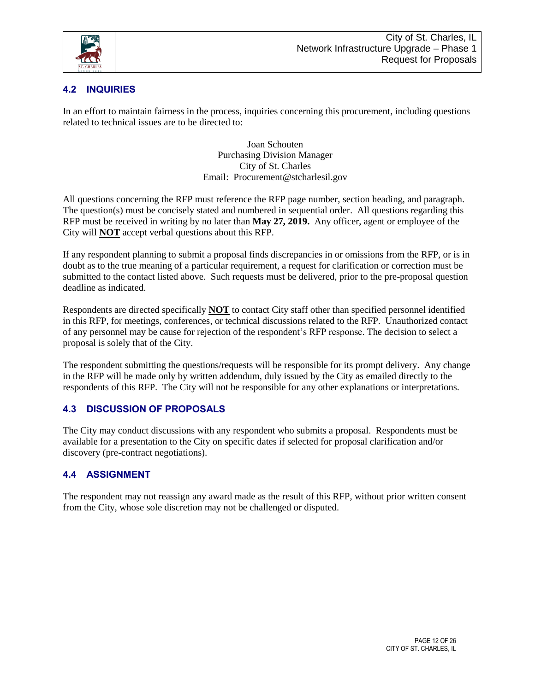

### **4.2 INQUIRIES**

In an effort to maintain fairness in the process, inquiries concerning this procurement, including questions related to technical issues are to be directed to:

> Joan Schouten Purchasing Division Manager City of St. Charles Email: Procurement@stcharlesil.gov

All questions concerning the RFP must reference the RFP page number, section heading, and paragraph. The question(s) must be concisely stated and numbered in sequential order. All questions regarding this RFP must be received in writing by no later than **May 27, 2019.** Any officer, agent or employee of the City will **NOT** accept verbal questions about this RFP.

If any respondent planning to submit a proposal finds discrepancies in or omissions from the RFP, or is in doubt as to the true meaning of a particular requirement, a request for clarification or correction must be submitted to the contact listed above. Such requests must be delivered, prior to the pre-proposal question deadline as indicated.

Respondents are directed specifically **NOT** to contact City staff other than specified personnel identified in this RFP, for meetings, conferences, or technical discussions related to the RFP. Unauthorized contact of any personnel may be cause for rejection of the respondent's RFP response. The decision to select a proposal is solely that of the City.

The respondent submitting the questions/requests will be responsible for its prompt delivery. Any change in the RFP will be made only by written addendum, duly issued by the City as emailed directly to the respondents of this RFP. The City will not be responsible for any other explanations or interpretations.

### **4.3 DISCUSSION OF PROPOSALS**

The City may conduct discussions with any respondent who submits a proposal. Respondents must be available for a presentation to the City on specific dates if selected for proposal clarification and/or discovery (pre-contract negotiations).

### **4.4 ASSIGNMENT**

The respondent may not reassign any award made as the result of this RFP, without prior written consent from the City, whose sole discretion may not be challenged or disputed.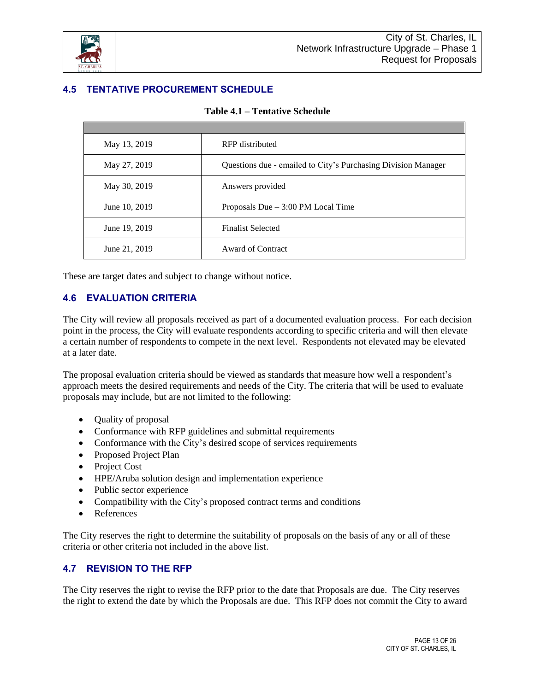

# <span id="page-12-0"></span>**4.5 TENTATIVE PROCUREMENT SCHEDULE**

| May 13, 2019  | RFP distributed                                               |  |
|---------------|---------------------------------------------------------------|--|
| May 27, 2019  | Questions due - emailed to City's Purchasing Division Manager |  |
| May 30, 2019  | Answers provided                                              |  |
| June 10, 2019 | Proposals Due $-3:00$ PM Local Time                           |  |
| June 19, 2019 | <b>Finalist Selected</b>                                      |  |
| June 21, 2019 | <b>Award of Contract</b>                                      |  |

These are target dates and subject to change without notice.

#### **4.6 EVALUATION CRITERIA**

The City will review all proposals received as part of a documented evaluation process. For each decision point in the process, the City will evaluate respondents according to specific criteria and will then elevate a certain number of respondents to compete in the next level. Respondents not elevated may be elevated at a later date.

The proposal evaluation criteria should be viewed as standards that measure how well a respondent's approach meets the desired requirements and needs of the City. The criteria that will be used to evaluate proposals may include, but are not limited to the following:

- Quality of proposal
- Conformance with RFP guidelines and submittal requirements
- Conformance with the City's desired scope of services requirements
- Proposed Project Plan
- Project Cost
- HPE/Aruba solution design and implementation experience
- Public sector experience
- Compatibility with the City's proposed contract terms and conditions
- **References**

The City reserves the right to determine the suitability of proposals on the basis of any or all of these criteria or other criteria not included in the above list.

### **4.7 REVISION TO THE RFP**

The City reserves the right to revise the RFP prior to the date that Proposals are due. The City reserves the right to extend the date by which the Proposals are due. This RFP does not commit the City to award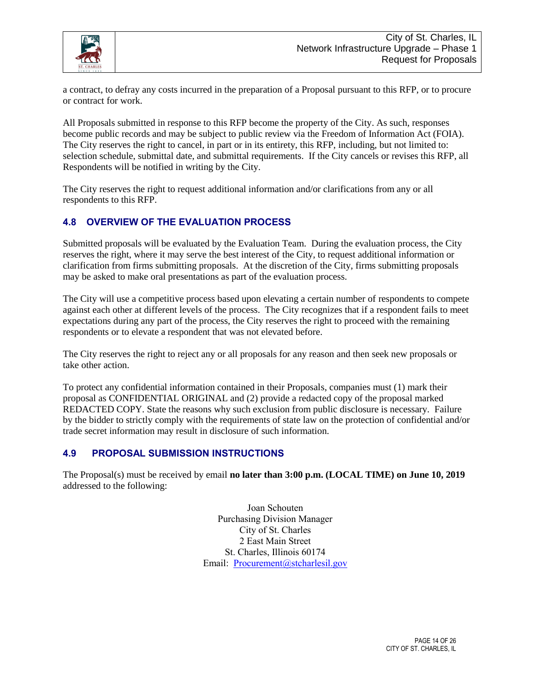

a contract, to defray any costs incurred in the preparation of a Proposal pursuant to this RFP, or to procure or contract for work.

All Proposals submitted in response to this RFP become the property of the City. As such, responses become public records and may be subject to public review via the Freedom of Information Act (FOIA). The City reserves the right to cancel, in part or in its entirety, this RFP, including, but not limited to: selection schedule, submittal date, and submittal requirements. If the City cancels or revises this RFP, all Respondents will be notified in writing by the City.

The City reserves the right to request additional information and/or clarifications from any or all respondents to this RFP.

#### **4.8 OVERVIEW OF THE EVALUATION PROCESS**

Submitted proposals will be evaluated by the Evaluation Team. During the evaluation process, the City reserves the right, where it may serve the best interest of the City, to request additional information or clarification from firms submitting proposals. At the discretion of the City, firms submitting proposals may be asked to make oral presentations as part of the evaluation process.

The City will use a competitive process based upon elevating a certain number of respondents to compete against each other at different levels of the process. The City recognizes that if a respondent fails to meet expectations during any part of the process, the City reserves the right to proceed with the remaining respondents or to elevate a respondent that was not elevated before.

The City reserves the right to reject any or all proposals for any reason and then seek new proposals or take other action.

To protect any confidential information contained in their Proposals, companies must (1) mark their proposal as CONFIDENTIAL ORIGINAL and (2) provide a redacted copy of the proposal marked REDACTED COPY. State the reasons why such exclusion from public disclosure is necessary. Failure by the bidder to strictly comply with the requirements of state law on the protection of confidential and/or trade secret information may result in disclosure of such information.

#### **4.9 PROPOSAL SUBMISSION INSTRUCTIONS**

The Proposal(s) must be received by email **no later than 3:00 p.m. (LOCAL TIME) on June 10, 2019** addressed to the following:

> Joan Schouten Purchasing Division Manager City of St. Charles 2 East Main Street St. Charles, Illinois 60174 Email: [Procurement@stcharlesil.gov](mailto:Procurement@stcharlesil.gov)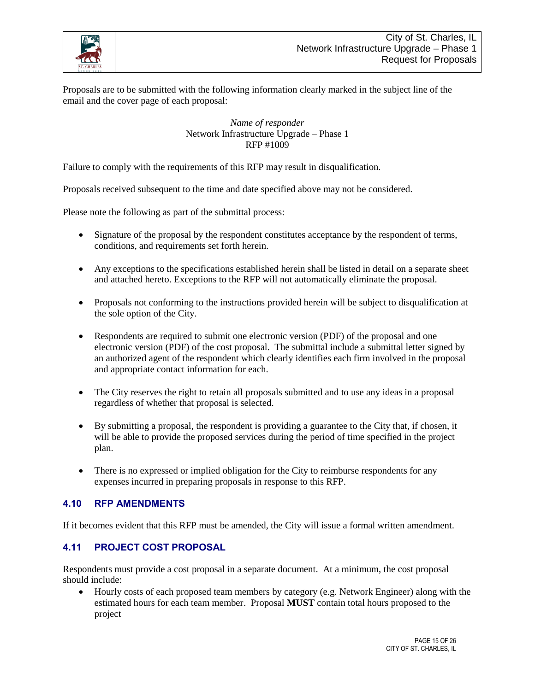

Proposals are to be submitted with the following information clearly marked in the subject line of the email and the cover page of each proposal:

> *Name of responder* Network Infrastructure Upgrade – Phase 1 RFP #1009

Failure to comply with the requirements of this RFP may result in disqualification.

Proposals received subsequent to the time and date specified above may not be considered.

Please note the following as part of the submittal process:

- Signature of the proposal by the respondent constitutes acceptance by the respondent of terms, conditions, and requirements set forth herein.
- Any exceptions to the specifications established herein shall be listed in detail on a separate sheet and attached hereto. Exceptions to the RFP will not automatically eliminate the proposal.
- Proposals not conforming to the instructions provided herein will be subject to disqualification at the sole option of the City.
- Respondents are required to submit one electronic version (PDF) of the proposal and one electronic version (PDF) of the cost proposal. The submittal include a submittal letter signed by an authorized agent of the respondent which clearly identifies each firm involved in the proposal and appropriate contact information for each.
- The City reserves the right to retain all proposals submitted and to use any ideas in a proposal regardless of whether that proposal is selected.
- By submitting a proposal, the respondent is providing a guarantee to the City that, if chosen, it will be able to provide the proposed services during the period of time specified in the project plan.
- There is no expressed or implied obligation for the City to reimburse respondents for any expenses incurred in preparing proposals in response to this RFP.

#### **4.10 RFP AMENDMENTS**

If it becomes evident that this RFP must be amended, the City will issue a formal written amendment.

#### **4.11 PROJECT COST PROPOSAL**

Respondents must provide a cost proposal in a separate document. At a minimum, the cost proposal should include:

• Hourly costs of each proposed team members by category (e.g. Network Engineer) along with the estimated hours for each team member. Proposal **MUST** contain total hours proposed to the project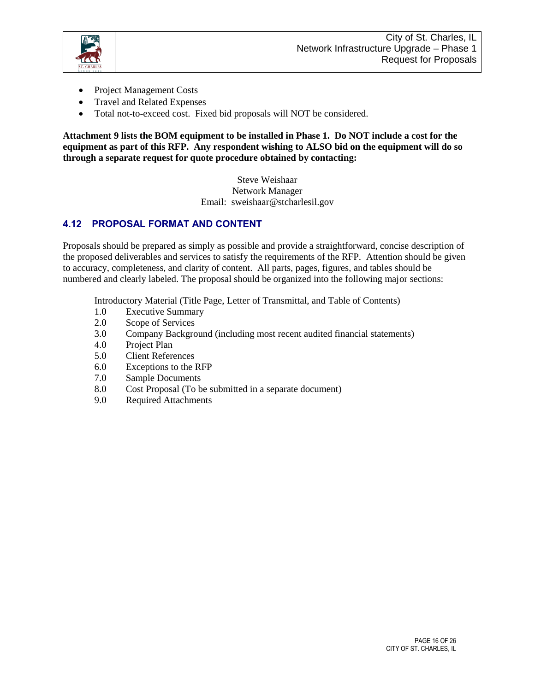

- Project Management Costs
- Travel and Related Expenses
- Total not-to-exceed cost. Fixed bid proposals will NOT be considered.

**Attachment 9 lists the BOM equipment to be installed in Phase 1. Do NOT include a cost for the equipment as part of this RFP. Any respondent wishing to ALSO bid on the equipment will do so through a separate request for quote procedure obtained by contacting:**

> Steve Weishaar Network Manager Email: sweishaar@stcharlesil.gov

#### **4.12 PROPOSAL FORMAT AND CONTENT**

Proposals should be prepared as simply as possible and provide a straightforward, concise description of the proposed deliverables and services to satisfy the requirements of the RFP. Attention should be given to accuracy, completeness, and clarity of content. All parts, pages, figures, and tables should be numbered and clearly labeled. The proposal should be organized into the following major sections:

Introductory Material (Title Page, Letter of Transmittal, and Table of Contents)

- 1.0 Executive Summary
- 2.0 Scope of Services
- 3.0 Company Background (including most recent audited financial statements)
- 4.0 Project Plan
- 5.0 Client References
- 6.0 Exceptions to the RFP
- 7.0 Sample Documents
- 8.0 Cost Proposal (To be submitted in a separate document)
- 9.0 Required Attachments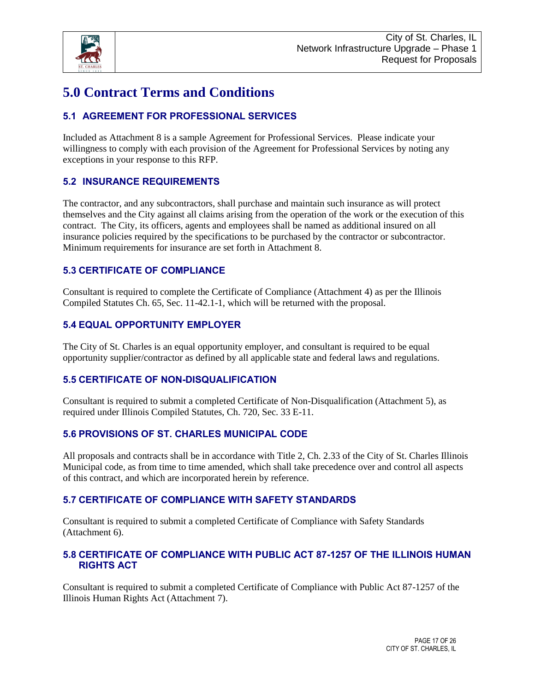

# **5.0 Contract Terms and Conditions**

# **5.1 AGREEMENT FOR PROFESSIONAL SERVICES**

Included as Attachment 8 is a sample Agreement for Professional Services. Please indicate your willingness to comply with each provision of the Agreement for Professional Services by noting any exceptions in your response to this RFP.

### **5.2 INSURANCE REQUIREMENTS**

The contractor, and any subcontractors, shall purchase and maintain such insurance as will protect themselves and the City against all claims arising from the operation of the work or the execution of this contract. The City, its officers, agents and employees shall be named as additional insured on all insurance policies required by the specifications to be purchased by the contractor or subcontractor. Minimum requirements for insurance are set forth in Attachment 8.

#### **5.3 CERTIFICATE OF COMPLIANCE**

Consultant is required to complete the Certificate of Compliance (Attachment 4) as per the Illinois Compiled Statutes Ch. 65, Sec. 11-42.1-1, which will be returned with the proposal.

#### **5.4 EQUAL OPPORTUNITY EMPLOYER**

The City of St. Charles is an equal opportunity employer, and consultant is required to be equal opportunity supplier/contractor as defined by all applicable state and federal laws and regulations.

### **5.5 CERTIFICATE OF NON-DISQUALIFICATION**

Consultant is required to submit a completed Certificate of Non-Disqualification (Attachment 5), as required under Illinois Compiled Statutes, Ch. 720, Sec. 33 E-11.

#### **5.6 PROVISIONS OF ST. CHARLES MUNICIPAL CODE**

All proposals and contracts shall be in accordance with Title 2, Ch. 2.33 of the City of St. Charles Illinois Municipal code, as from time to time amended, which shall take precedence over and control all aspects of this contract, and which are incorporated herein by reference.

#### **5.7 CERTIFICATE OF COMPLIANCE WITH SAFETY STANDARDS**

Consultant is required to submit a completed Certificate of Compliance with Safety Standards (Attachment 6).

#### **5.8 CERTIFICATE OF COMPLIANCE WITH PUBLIC ACT 87-1257 OF THE ILLINOIS HUMAN RIGHTS ACT**

Consultant is required to submit a completed Certificate of Compliance with Public Act 87-1257 of the Illinois Human Rights Act (Attachment 7).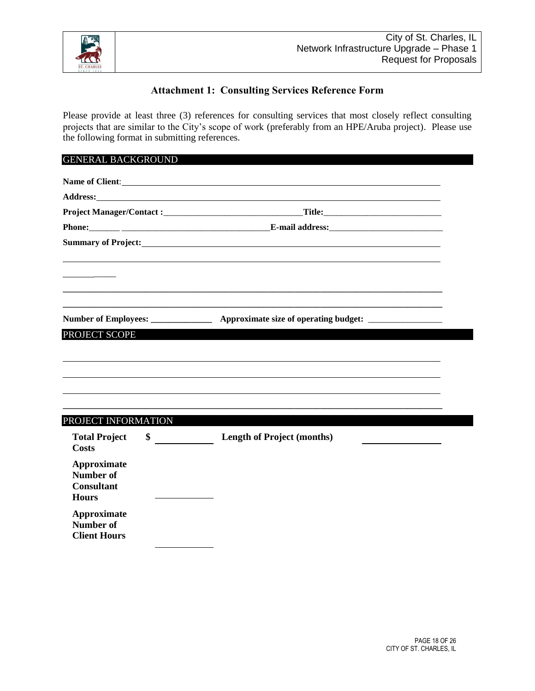

#### **Attachment 1: Consulting Services Reference Form**

<span id="page-17-0"></span>Please provide at least three (3) references for consulting services that most closely reflect consulting projects that are similar to the City's scope of work (preferably from an HPE/Aruba project). Please use the following format in submitting references.

#### GENERAL BACKGROUND

|                                            | Name of Client:                                                                                                                                                                                                                      |  |
|--------------------------------------------|--------------------------------------------------------------------------------------------------------------------------------------------------------------------------------------------------------------------------------------|--|
|                                            |                                                                                                                                                                                                                                      |  |
|                                            |                                                                                                                                                                                                                                      |  |
|                                            |                                                                                                                                                                                                                                      |  |
|                                            | Summary of Project: <u>contract the contract of the set of the set of the set of the set of the set of the set of the set of the set of the set of the set of the set of the set of the set of the set of the set of the set of </u> |  |
|                                            |                                                                                                                                                                                                                                      |  |
|                                            |                                                                                                                                                                                                                                      |  |
|                                            |                                                                                                                                                                                                                                      |  |
|                                            | Number of Employees: __________________ Approximate size of operating budget: _____________________                                                                                                                                  |  |
| PROJECT SCOPE                              |                                                                                                                                                                                                                                      |  |
|                                            |                                                                                                                                                                                                                                      |  |
|                                            |                                                                                                                                                                                                                                      |  |
|                                            |                                                                                                                                                                                                                                      |  |
|                                            |                                                                                                                                                                                                                                      |  |
|                                            |                                                                                                                                                                                                                                      |  |
| PROJECT INFORMATION                        |                                                                                                                                                                                                                                      |  |
| <b>Total Project</b><br>\$<br><b>Costs</b> | <b>Length of Project (months)</b>                                                                                                                                                                                                    |  |
| <b>Approximate</b><br><b>Number of</b>     |                                                                                                                                                                                                                                      |  |
| <b>Consultant</b><br><b>Hours</b>          |                                                                                                                                                                                                                                      |  |
| Approximate<br><b>Number of</b>            |                                                                                                                                                                                                                                      |  |
| <b>Client Hours</b>                        |                                                                                                                                                                                                                                      |  |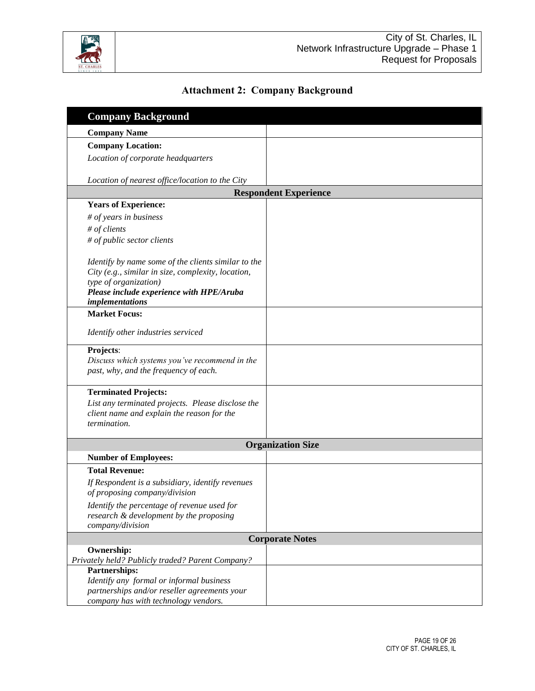

# **Attachment 2: Company Background**

<span id="page-18-1"></span><span id="page-18-0"></span>

| <b>Company Background</b>                                                                                 |                          |  |  |  |  |
|-----------------------------------------------------------------------------------------------------------|--------------------------|--|--|--|--|
| <b>Company Name</b>                                                                                       |                          |  |  |  |  |
| <b>Company Location:</b>                                                                                  |                          |  |  |  |  |
| Location of corporate headquarters                                                                        |                          |  |  |  |  |
|                                                                                                           |                          |  |  |  |  |
| Location of nearest office/location to the City                                                           |                          |  |  |  |  |
| <b>Respondent Experience</b>                                                                              |                          |  |  |  |  |
| <b>Years of Experience:</b>                                                                               |                          |  |  |  |  |
| # of years in business                                                                                    |                          |  |  |  |  |
| # of clients                                                                                              |                          |  |  |  |  |
| # of public sector clients                                                                                |                          |  |  |  |  |
|                                                                                                           |                          |  |  |  |  |
| Identify by name some of the clients similar to the<br>City (e.g., similar in size, complexity, location, |                          |  |  |  |  |
| type of organization)                                                                                     |                          |  |  |  |  |
| Please include experience with HPE/Aruba                                                                  |                          |  |  |  |  |
| <i>implementations</i>                                                                                    |                          |  |  |  |  |
| <b>Market Focus:</b>                                                                                      |                          |  |  |  |  |
| Identify other industries serviced                                                                        |                          |  |  |  |  |
| Projects:                                                                                                 |                          |  |  |  |  |
| Discuss which systems you've recommend in the<br>past, why, and the frequency of each.                    |                          |  |  |  |  |
| <b>Terminated Projects:</b>                                                                               |                          |  |  |  |  |
| List any terminated projects. Please disclose the                                                         |                          |  |  |  |  |
| client name and explain the reason for the                                                                |                          |  |  |  |  |
| termination.                                                                                              |                          |  |  |  |  |
|                                                                                                           |                          |  |  |  |  |
|                                                                                                           | <b>Organization Size</b> |  |  |  |  |
| <b>Number of Employees:</b>                                                                               |                          |  |  |  |  |
| <b>Total Revenue:</b>                                                                                     |                          |  |  |  |  |
| If Respondent is a subsidiary, identify revenues                                                          |                          |  |  |  |  |
| of proposing company/division                                                                             |                          |  |  |  |  |
| Identify the percentage of revenue used for                                                               |                          |  |  |  |  |
| research & development by the proposing<br>company/division                                               |                          |  |  |  |  |
|                                                                                                           |                          |  |  |  |  |
| Ownership:                                                                                                | <b>Corporate Notes</b>   |  |  |  |  |
| Privately held? Publicly traded? Parent Company?                                                          |                          |  |  |  |  |
| Partnerships:                                                                                             |                          |  |  |  |  |
| Identify any formal or informal business                                                                  |                          |  |  |  |  |
| partnerships and/or reseller agreements your                                                              |                          |  |  |  |  |
| company has with technology vendors.                                                                      |                          |  |  |  |  |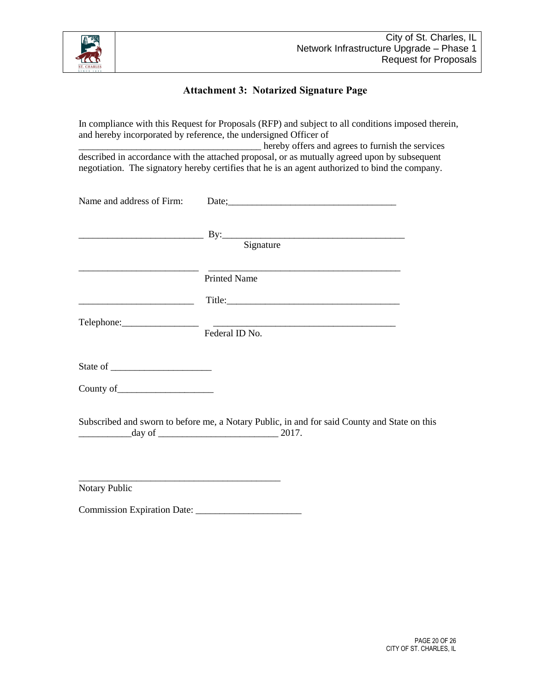

#### **Attachment 3: Notarized Signature Page**

In compliance with this Request for Proposals (RFP) and subject to all conditions imposed therein, and hereby incorporated by reference, the undersigned Officer of \_\_\_\_\_\_\_\_\_\_\_\_\_\_\_\_\_\_\_\_\_\_\_\_\_\_\_\_\_\_\_\_\_\_\_\_\_\_ hereby offers and agrees to furnish the services described in accordance with the attached proposal, or as mutually agreed upon by subsequent negotiation. The signatory hereby certifies that he is an agent authorized to bind the company.

| Name and address of Firm: | Date;                                                                                                              |
|---------------------------|--------------------------------------------------------------------------------------------------------------------|
|                           | $\mathbf{B}$ y: $\qquad \qquad \qquad$ Signature                                                                   |
|                           | <b>Printed Name</b>                                                                                                |
|                           |                                                                                                                    |
|                           | Federal ID No.                                                                                                     |
|                           |                                                                                                                    |
|                           |                                                                                                                    |
|                           | Subscribed and sworn to before me, a Notary Public, in and for said County and State on this<br>$\frac{1}{2017}$ . |
| <b>Notary Public</b>      |                                                                                                                    |

Commission Expiration Date: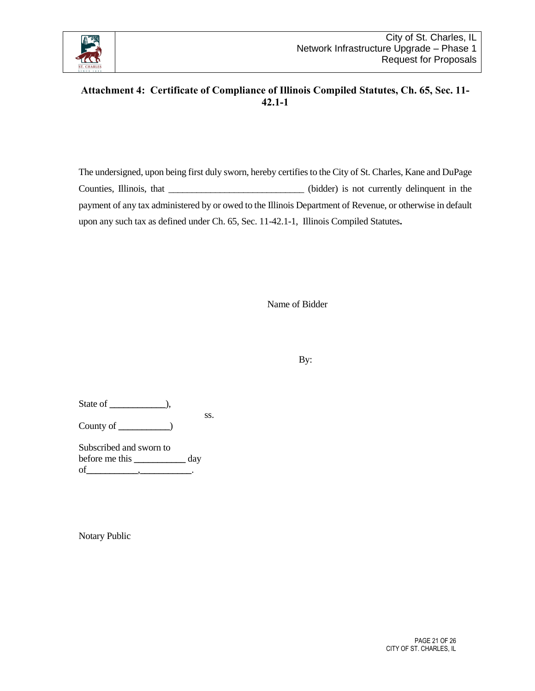

# <span id="page-20-0"></span>**Attachment 4: Certificate of Compliance of Illinois Compiled Statutes, Ch. 65, Sec. 11- 42.1-1**

The undersigned, upon being first duly sworn, hereby certifies to the City of St. Charles, Kane and DuPage Counties, Illinois, that \_\_\_\_\_\_\_\_\_\_\_\_\_\_\_\_\_\_\_\_\_\_\_\_\_\_\_\_\_\_\_(bidder) is not currently delinquent in the payment of any tax administered by or owed to the Illinois Department of Revenue, or otherwise in default upon any such tax as defined under Ch. 65, Sec. 11-42.1-1, Illinois Compiled Statutes**.**

Name of Bidder

By:

State of **\_\_\_\_\_\_\_\_\_\_\_\_**), ss.

County of **\_\_\_\_\_\_\_\_\_\_\_**)

Subscribed and sworn to before me this **\_\_\_\_\_\_\_\_\_\_\_** day of**\_\_\_\_\_\_\_\_\_\_\_**,**\_\_\_\_\_\_\_\_\_\_\_**.

Notary Public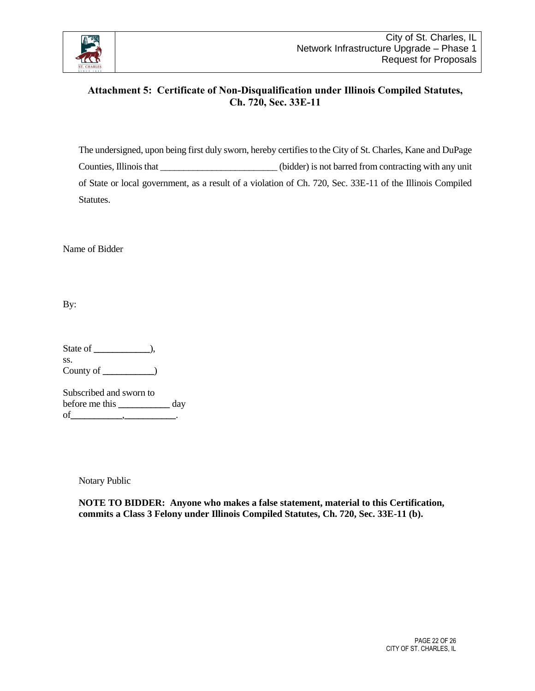

### <span id="page-21-0"></span>**Attachment 5: Certificate of Non-Disqualification under Illinois Compiled Statutes, Ch. 720, Sec. 33E-11**

The undersigned, upon being first duly sworn, hereby certifies to the City of St. Charles, Kane and DuPage Counties, Illinois that \_\_\_\_\_\_\_\_\_\_\_\_\_\_\_\_\_\_\_\_\_\_\_\_\_ (bidder) is not barred from contracting with any unit of State or local government, as a result of a violation of Ch. 720, Sec. 33E-11 of the Illinois Compiled Statutes.

Name of Bidder

By:

State of **\_\_\_\_\_\_\_\_\_\_\_\_**), ss. County of **\_\_\_\_\_\_\_\_\_\_\_**)

Subscribed and sworn to before me this **\_\_\_\_\_\_\_\_\_\_\_** day of**\_\_\_\_\_\_\_\_\_\_\_**,**\_\_\_\_\_\_\_\_\_\_\_**.

Notary Public

**NOTE TO BIDDER: Anyone who makes a false statement, material to this Certification, commits a Class 3 Felony under Illinois Compiled Statutes, Ch. 720, Sec. 33E-11 (b).**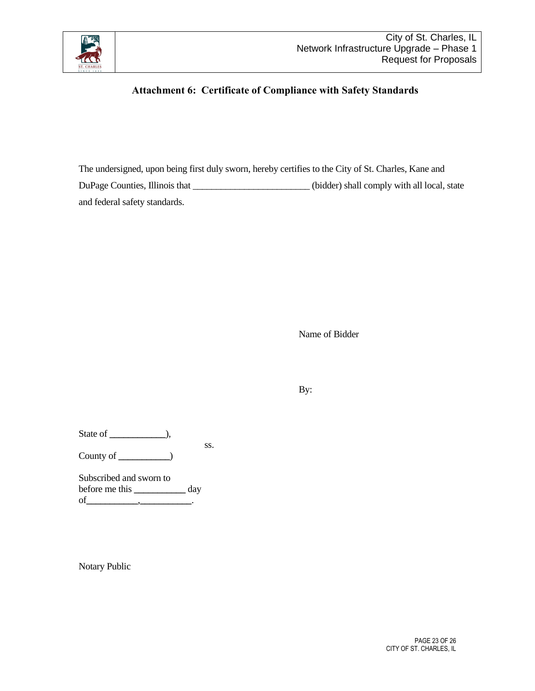<span id="page-22-0"></span>

# **Attachment 6: Certificate of Compliance with Safety Standards**

The undersigned, upon being first duly sworn, hereby certifies to the City of St. Charles, Kane and DuPage Counties, Illinois that \_\_\_\_\_\_\_\_\_\_\_\_\_\_\_\_\_\_\_\_\_\_\_\_(bidder) shall comply with all local, state and federal safety standards.

Name of Bidder

By:

State of **\_\_\_\_\_\_\_\_\_\_\_\_**),

ss.

County of **\_\_\_\_\_\_\_\_\_\_\_**)

Subscribed and sworn to before me this **\_\_\_\_\_\_\_\_\_\_\_** day of**\_\_\_\_\_\_\_\_\_\_\_**,**\_\_\_\_\_\_\_\_\_\_\_**.

Notary Public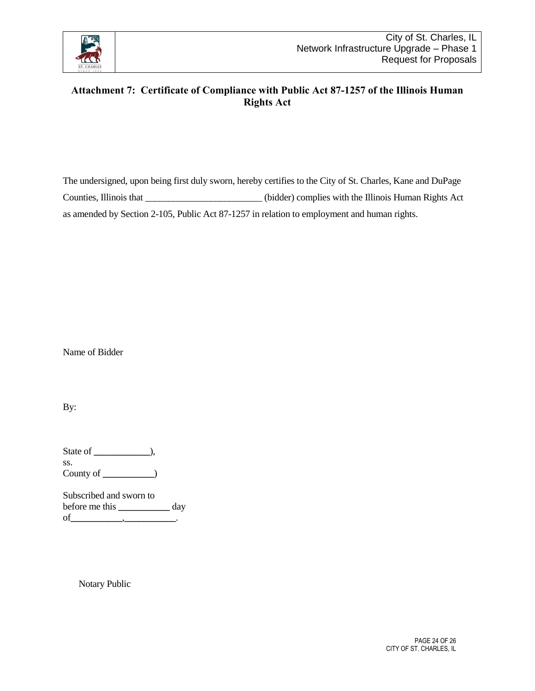

# <span id="page-23-0"></span>**Attachment 7: Certificate of Compliance with Public Act 87-1257 of the Illinois Human Rights Act**

The undersigned, upon being first duly sworn, hereby certifies to the City of St. Charles, Kane and DuPage Counties, Illinois that \_\_\_\_\_\_\_\_\_\_\_\_\_\_\_\_\_\_\_\_\_\_\_\_\_ (bidder) complies with the Illinois Human Rights Act as amended by Section 2-105, Public Act 87-1257 in relation to employment and human rights.

Name of Bidder

By:

State of **\_\_\_\_\_\_\_\_\_\_\_\_**), ss. County of **\_\_\_\_\_\_\_\_\_\_\_**)

Subscribed and sworn to before me this **\_\_\_\_\_\_\_\_\_\_\_** day of**\_\_\_\_\_\_\_\_\_\_\_**,**\_\_\_\_\_\_\_\_\_\_\_**.

Notary Public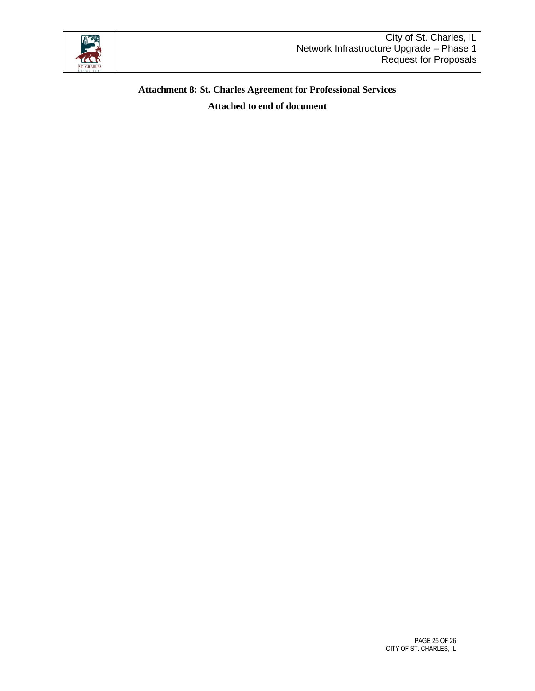

# **Attachment 8: St. Charles Agreement for Professional Services**

**Attached to end of document**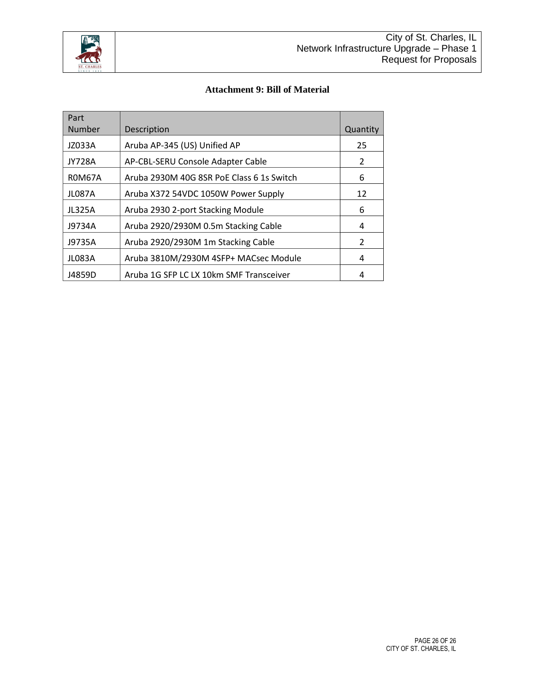

#### **Attachment 9: Bill of Material**

| Part<br><b>Number</b>                        | Description                               | Quantity      |
|----------------------------------------------|-------------------------------------------|---------------|
|                                              |                                           |               |
| JZ033A                                       | Aruba AP-345 (US) Unified AP              | 25            |
| JY728A                                       | AP-CBL-SERU Console Adapter Cable         | 2             |
| <b>ROM67A</b>                                | Aruba 2930M 40G 8SR PoE Class 6 1s Switch |               |
| <b>JL087A</b>                                | Aruba X372 54VDC 1050W Power Supply       | 12            |
| <b>JL325A</b>                                | Aruba 2930 2-port Stacking Module         |               |
| J9734A                                       | Aruba 2920/2930M 0.5m Stacking Cable      |               |
| Aruba 2920/2930M 1m Stacking Cable<br>J9735A |                                           | $\mathcal{P}$ |
| JL083A                                       | Aruba 3810M/2930M 4SFP+ MACsec Module     | 4             |
| J4859D                                       | Aruba 1G SFP LC LX 10km SMF Transceiver   | 4             |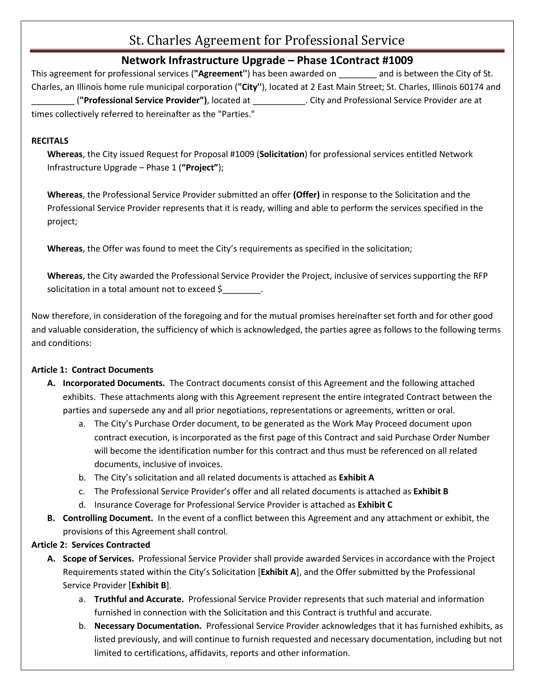# St. Charles Agreement for Professional Service

# **Network Infrastructure Upgrade – Phase 1Contract #1009**

This agreement for professional services (**"Agreement''**) has been awarded on \_\_\_\_\_\_\_\_ and is between the City of St. Charles, an Illinois home rule municipal corporation (**"City''**), located at 2 East Main Street; St. Charles, Illinois 60174 and \_\_\_\_\_\_\_\_\_ (**"Professional Service Provider")**, located at \_\_\_\_\_\_\_\_\_\_\_. City and Professional Service Provider are at times collectively referred to hereinafter as the "Parties."

#### **RECITALS**

**Whereas**, the City issued Request for Proposal #1009 (**Solicitation**) for professional services entitled Network Infrastructure Upgrade – Phase 1 (**"Project"**);

**Whereas**, the Professional Service Provider submitted an offer **(Offer)** in response to the Solicitation and the Professional Service Provider represents that it is ready, willing and able to perform the services specified in the project;

**Whereas**, the Offer was found to meet the City's requirements as specified in the solicitation;

**Whereas**, the City awarded the Professional Service Provider the Project, inclusive of services supporting the RFP solicitation in a total amount not to exceed \$

Now therefore, in consideration of the foregoing and for the mutual promises hereinafter set forth and for other good and valuable consideration, the sufficiency of which is acknowledged, the parties agree as follows to the following terms and conditions:

### **Article 1: Contract Documents**

- **A. Incorporated Documents.** The Contract documents consist of this Agreement and the following attached exhibits. These attachments along with this Agreement represent the entire integrated Contract between the parties and supersede any and all prior negotiations, representations or agreements, written or oral.
	- a. The City's Purchase Order document, to be generated as the Work May Proceed document upon contract execution, is incorporated as the first page of this Contract and said Purchase Order Number will become the identification number for this contract and thus must be referenced on all related documents, inclusive of invoices.
	- b. The City's solicitation and all related documents is attached as **Exhibit A**
	- c. The Professional Service Provider's offer and all related documents is attached as **Exhibit B**
	- d. Insurance Coverage for Professional Service Provider is attached as **Exhibit C**
- **B. Controlling Document.** In the event of a conflict between this Agreement and any attachment or exhibit, the provisions of this Agreement shall control.

### **Article 2: Services Contracted**

- **A. Scope of Services.** Professional Service Provider shall provide awarded Services in accordance with the Project Requirements stated within the City's Solicitation [**Exhibit A**], and the Offer submitted by the Professional Service Provider [**Exhibit B**].
	- a. **Truthful and Accurate.** Professional Service Provider represents that such material and information furnished in connection with the Solicitation and this Contract is truthful and accurate.
	- b. **Necessary Documentation.** Professional Service Provider acknowledges that it has furnished exhibits, as listed previously, and will continue to furnish requested and necessary documentation, including but not limited to certifications, affidavits, reports and other information.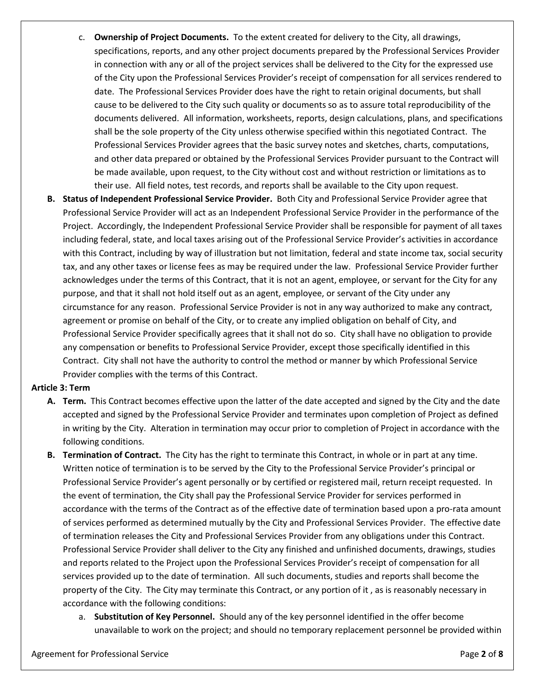- c. **Ownership of Project Documents.** To the extent created for delivery to the City, all drawings, specifications, reports, and any other project documents prepared by the Professional Services Provider in connection with any or all of the project services shall be delivered to the City for the expressed use of the City upon the Professional Services Provider's receipt of compensation for all services rendered to date. The Professional Services Provider does have the right to retain original documents, but shall cause to be delivered to the City such quality or documents so as to assure total reproducibility of the documents delivered. All information, worksheets, reports, design calculations, plans, and specifications shall be the sole property of the City unless otherwise specified within this negotiated Contract. The Professional Services Provider agrees that the basic survey notes and sketches, charts, computations, and other data prepared or obtained by the Professional Services Provider pursuant to the Contract will be made available, upon request, to the City without cost and without restriction or limitations as to their use. All field notes, test records, and reports shall be available to the City upon request.
- **B. Status of Independent Professional Service Provider.** Both City and Professional Service Provider agree that Professional Service Provider will act as an Independent Professional Service Provider in the performance of the Project. Accordingly, the Independent Professional Service Provider shall be responsible for payment of all taxes including federal, state, and local taxes arising out of the Professional Service Provider's activities in accordance with this Contract, including by way of illustration but not limitation, federal and state income tax, social security tax, and any other taxes or license fees as may be required under the law. Professional Service Provider further acknowledges under the terms of this Contract, that it is not an agent, employee, or servant for the City for any purpose, and that it shall not hold itself out as an agent, employee, or servant of the City under any circumstance for any reason. Professional Service Provider is not in any way authorized to make any contract, agreement or promise on behalf of the City, or to create any implied obligation on behalf of City, and Professional Service Provider specifically agrees that it shall not do so. City shall have no obligation to provide any compensation or benefits to Professional Service Provider, except those specifically identified in this Contract. City shall not have the authority to control the method or manner by which Professional Service Provider complies with the terms of this Contract.

#### **Article 3: Term**

- **A. Term.** This Contract becomes effective upon the latter of the date accepted and signed by the City and the date accepted and signed by the Professional Service Provider and terminates upon completion of Project as defined in writing by the City. Alteration in termination may occur prior to completion of Project in accordance with the following conditions.
- **B. Termination of Contract.** The City has the right to terminate this Contract, in whole or in part at any time. Written notice of termination is to be served by the City to the Professional Service Provider's principal or Professional Service Provider's agent personally or by certified or registered mail, return receipt requested. In the event of termination, the City shall pay the Professional Service Provider for services performed in accordance with the terms of the Contract as of the effective date of termination based upon a pro-rata amount of services performed as determined mutually by the City and Professional Services Provider. The effective date of termination releases the City and Professional Services Provider from any obligations under this Contract. Professional Service Provider shall deliver to the City any finished and unfinished documents, drawings, studies and reports related to the Project upon the Professional Services Provider's receipt of compensation for all services provided up to the date of termination. All such documents, studies and reports shall become the property of the City. The City may terminate this Contract, or any portion of it , as is reasonably necessary in accordance with the following conditions:
	- a. **Substitution of Key Personnel.** Should any of the key personnel identified in the offer become unavailable to work on the project; and should no temporary replacement personnel be provided within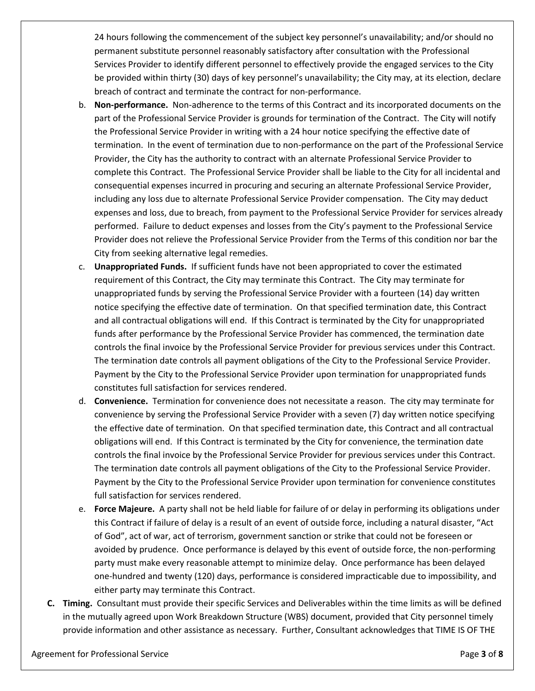24 hours following the commencement of the subject key personnel's unavailability; and/or should no permanent substitute personnel reasonably satisfactory after consultation with the Professional Services Provider to identify different personnel to effectively provide the engaged services to the City be provided within thirty (30) days of key personnel's unavailability; the City may, at its election, declare breach of contract and terminate the contract for non-performance.

- b. **Non-performance.** Non-adherence to the terms of this Contract and its incorporated documents on the part of the Professional Service Provider is grounds for termination of the Contract. The City will notify the Professional Service Provider in writing with a 24 hour notice specifying the effective date of termination. In the event of termination due to non-performance on the part of the Professional Service Provider, the City has the authority to contract with an alternate Professional Service Provider to complete this Contract. The Professional Service Provider shall be liable to the City for all incidental and consequential expenses incurred in procuring and securing an alternate Professional Service Provider, including any loss due to alternate Professional Service Provider compensation. The City may deduct expenses and loss, due to breach, from payment to the Professional Service Provider for services already performed. Failure to deduct expenses and losses from the City's payment to the Professional Service Provider does not relieve the Professional Service Provider from the Terms of this condition nor bar the City from seeking alternative legal remedies.
- c. **Unappropriated Funds.** If sufficient funds have not been appropriated to cover the estimated requirement of this Contract, the City may terminate this Contract. The City may terminate for unappropriated funds by serving the Professional Service Provider with a fourteen (14) day written notice specifying the effective date of termination. On that specified termination date, this Contract and all contractual obligations will end. If this Contract is terminated by the City for unappropriated funds after performance by the Professional Service Provider has commenced, the termination date controls the final invoice by the Professional Service Provider for previous services under this Contract. The termination date controls all payment obligations of the City to the Professional Service Provider. Payment by the City to the Professional Service Provider upon termination for unappropriated funds constitutes full satisfaction for services rendered.
- d. **Convenience.** Termination for convenience does not necessitate a reason. The city may terminate for convenience by serving the Professional Service Provider with a seven (7) day written notice specifying the effective date of termination. On that specified termination date, this Contract and all contractual obligations will end. If this Contract is terminated by the City for convenience, the termination date controls the final invoice by the Professional Service Provider for previous services under this Contract. The termination date controls all payment obligations of the City to the Professional Service Provider. Payment by the City to the Professional Service Provider upon termination for convenience constitutes full satisfaction for services rendered.
- e. **Force Majeure.** A party shall not be held liable for failure of or delay in performing its obligations under this Contract if failure of delay is a result of an event of outside force, including a natural disaster, "Act of God", act of war, act of terrorism, government sanction or strike that could not be foreseen or avoided by prudence. Once performance is delayed by this event of outside force, the non-performing party must make every reasonable attempt to minimize delay. Once performance has been delayed one-hundred and twenty (120) days, performance is considered impracticable due to impossibility, and either party may terminate this Contract.
- **C. Timing.** Consultant must provide their specific Services and Deliverables within the time limits as will be defined in the mutually agreed upon Work Breakdown Structure (WBS) document, provided that City personnel timely provide information and other assistance as necessary. Further, Consultant acknowledges that TIME IS OF THE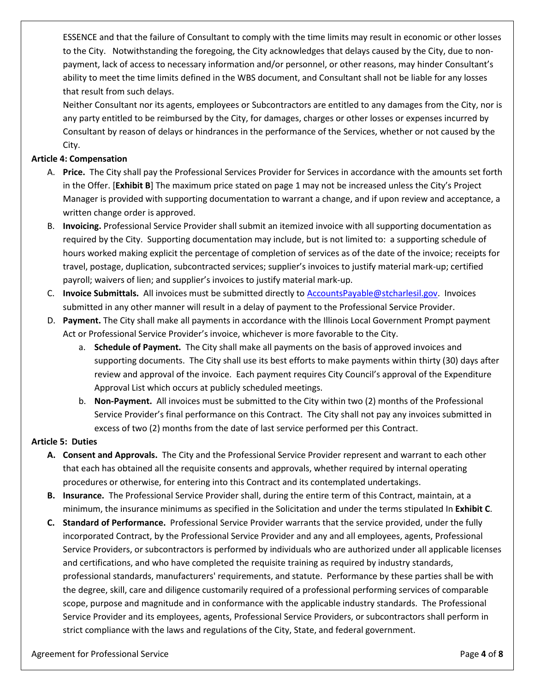ESSENCE and that the failure of Consultant to comply with the time limits may result in economic or other losses to the City. Notwithstanding the foregoing, the City acknowledges that delays caused by the City, due to nonpayment, lack of access to necessary information and/or personnel, or other reasons, may hinder Consultant's ability to meet the time limits defined in the WBS document, and Consultant shall not be liable for any losses that result from such delays.

Neither Consultant nor its agents, employees or Subcontractors are entitled to any damages from the City, nor is any party entitled to be reimbursed by the City, for damages, charges or other losses or expenses incurred by Consultant by reason of delays or hindrances in the performance of the Services, whether or not caused by the City.

#### **Article 4: Compensation**

- A. **Price.** The City shall pay the Professional Services Provider for Services in accordance with the amounts set forth in the Offer. [**Exhibit B**] The maximum price stated on page 1 may not be increased unless the City's Project Manager is provided with supporting documentation to warrant a change, and if upon review and acceptance, a written change order is approved.
- B. **Invoicing.** Professional Service Provider shall submit an itemized invoice with all supporting documentation as required by the City. Supporting documentation may include, but is not limited to: a supporting schedule of hours worked making explicit the percentage of completion of services as of the date of the invoice; receipts for travel, postage, duplication, subcontracted services; supplier's invoices to justify material mark-up; certified payroll; waivers of lien; and supplier's invoices to justify material mark-up.
- C. **Invoice Submittals.** All invoices must be submitted directly to [AccountsPayable@stcharlesil.gov.](mailto:AccountsPayable@stcharlesil.gov) Invoices submitted in any other manner will result in a delay of payment to the Professional Service Provider.
- D. **Payment.** The City shall make all payments in accordance with the Illinois Local Government Prompt payment Act or Professional Service Provider's invoice, whichever is more favorable to the City.
	- a. **Schedule of Payment.** The City shall make all payments on the basis of approved invoices and supporting documents. The City shall use its best efforts to make payments within thirty (30) days after review and approval of the invoice. Each payment requires City Council's approval of the Expenditure Approval List which occurs at publicly scheduled meetings.
	- b. **Non-Payment.** All invoices must be submitted to the City within two (2) months of the Professional Service Provider's final performance on this Contract. The City shall not pay any invoices submitted in excess of two (2) months from the date of last service performed per this Contract.

#### **Article 5: Duties**

- **A. Consent and Approvals.** The City and the Professional Service Provider represent and warrant to each other that each has obtained all the requisite consents and approvals, whether required by internal operating procedures or otherwise, for entering into this Contract and its contemplated undertakings.
- **B. Insurance.** The Professional Service Provider shall, during the entire term of this Contract, maintain, at a minimum, the insurance minimums as specified in the Solicitation and under the terms stipulated In **Exhibit C**.
- **C. Standard of Performance.** Professional Service Provider warrants that the service provided, under the fully incorporated Contract, by the Professional Service Provider and any and all employees, agents, Professional Service Providers, or subcontractors is performed by individuals who are authorized under all applicable licenses and certifications, and who have completed the requisite training as required by industry standards, professional standards, manufacturers' requirements, and statute. Performance by these parties shall be with the degree, skill, care and diligence customarily required of a professional performing services of comparable scope, purpose and magnitude and in conformance with the applicable industry standards. The Professional Service Provider and its employees, agents, Professional Service Providers, or subcontractors shall perform in strict compliance with the laws and regulations of the City, State, and federal government.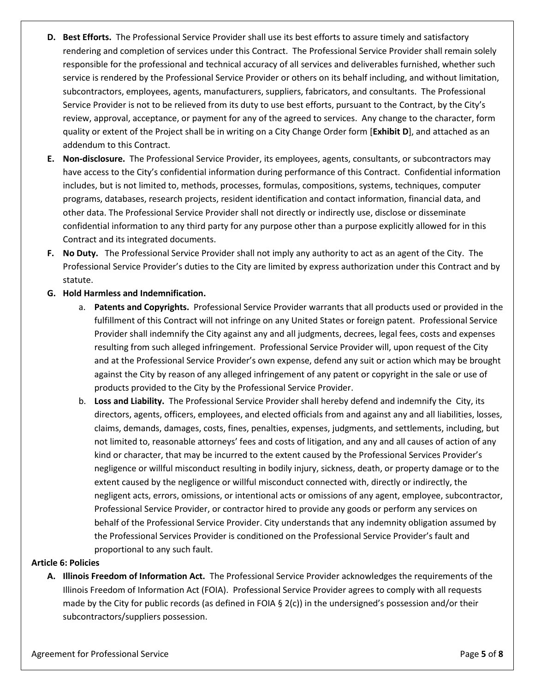- **D. Best Efforts.** The Professional Service Provider shall use its best efforts to assure timely and satisfactory rendering and completion of services under this Contract. The Professional Service Provider shall remain solely responsible for the professional and technical accuracy of all services and deliverables furnished, whether such service is rendered by the Professional Service Provider or others on its behalf including, and without limitation, subcontractors, employees, agents, manufacturers, suppliers, fabricators, and consultants. The Professional Service Provider is not to be relieved from its duty to use best efforts, pursuant to the Contract, by the City's review, approval, acceptance, or payment for any of the agreed to services. Any change to the character, form quality or extent of the Project shall be in writing on a City Change Order form [**Exhibit D**], and attached as an addendum to this Contract.
- **E. Non-disclosure.** The Professional Service Provider, its employees, agents, consultants, or subcontractors may have access to the City's confidential information during performance of this Contract. Confidential information includes, but is not limited to, methods, processes, formulas, compositions, systems, techniques, computer programs, databases, research projects, resident identification and contact information, financial data, and other data. The Professional Service Provider shall not directly or indirectly use, disclose or disseminate confidential information to any third party for any purpose other than a purpose explicitly allowed for in this Contract and its integrated documents.
- **F. No Duty.** The Professional Service Provider shall not imply any authority to act as an agent of the City. The Professional Service Provider's duties to the City are limited by express authorization under this Contract and by statute.

#### **G. Hold Harmless and Indemnification.**

- a. **Patents and Copyrights.** Professional Service Provider warrants that all products used or provided in the fulfillment of this Contract will not infringe on any United States or foreign patent. Professional Service Provider shall indemnify the City against any and all judgments, decrees, legal fees, costs and expenses resulting from such alleged infringement. Professional Service Provider will, upon request of the City and at the Professional Service Provider's own expense, defend any suit or action which may be brought against the City by reason of any alleged infringement of any patent or copyright in the sale or use of products provided to the City by the Professional Service Provider.
- b. **Loss and Liability.** The Professional Service Provider shall hereby defend and indemnify the City, its directors, agents, officers, employees, and elected officials from and against any and all liabilities, losses, claims, demands, damages, costs, fines, penalties, expenses, judgments, and settlements, including, but not limited to, reasonable attorneys' fees and costs of litigation, and any and all causes of action of any kind or character, that may be incurred to the extent caused by the Professional Services Provider's negligence or willful misconduct resulting in bodily injury, sickness, death, or property damage or to the extent caused by the negligence or willful misconduct connected with, directly or indirectly, the negligent acts, errors, omissions, or intentional acts or omissions of any agent, employee, subcontractor, Professional Service Provider, or contractor hired to provide any goods or perform any services on behalf of the Professional Service Provider. City understands that any indemnity obligation assumed by the Professional Services Provider is conditioned on the Professional Service Provider's fault and proportional to any such fault.

#### **Article 6: Policies**

**A. Illinois Freedom of Information Act.** The Professional Service Provider acknowledges the requirements of the Illinois Freedom of Information Act (FOIA). Professional Service Provider agrees to comply with all requests made by the City for public records (as defined in FOIA § 2(c)) in the undersigned's possession and/or their subcontractors/suppliers possession.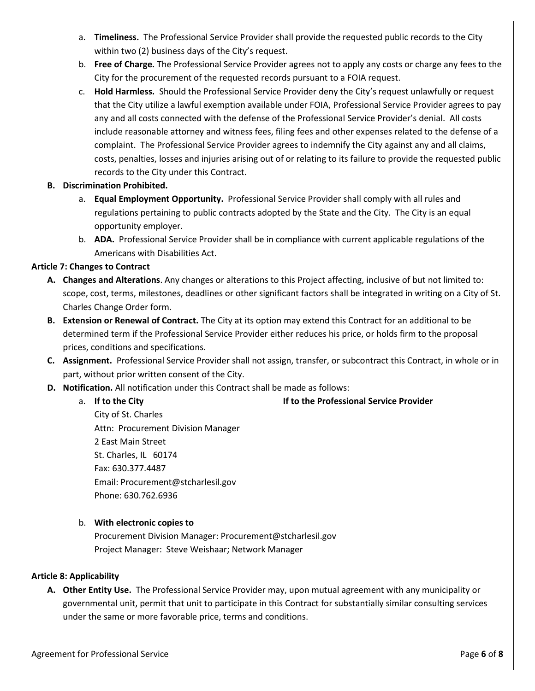- a. **Timeliness.** The Professional Service Provider shall provide the requested public records to the City within two (2) business days of the City's request.
- b. **Free of Charge.** The Professional Service Provider agrees not to apply any costs or charge any fees to the City for the procurement of the requested records pursuant to a FOIA request.
- c. **Hold Harmless.** Should the Professional Service Provider deny the City's request unlawfully or request that the City utilize a lawful exemption available under FOIA, Professional Service Provider agrees to pay any and all costs connected with the defense of the Professional Service Provider's denial. All costs include reasonable attorney and witness fees, filing fees and other expenses related to the defense of a complaint. The Professional Service Provider agrees to indemnify the City against any and all claims, costs, penalties, losses and injuries arising out of or relating to its failure to provide the requested public records to the City under this Contract.

#### **B. Discrimination Prohibited.**

- a. **Equal Employment Opportunity.** Professional Service Provider shall comply with all rules and regulations pertaining to public contracts adopted by the State and the City. The City is an equal opportunity employer.
- b. **ADA.** Professional Service Provider shall be in compliance with current applicable regulations of the Americans with Disabilities Act.

#### **Article 7: Changes to Contract**

- **A. Changes and Alterations**. Any changes or alterations to this Project affecting, inclusive of but not limited to: scope, cost, terms, milestones, deadlines or other significant factors shall be integrated in writing on a City of St. Charles Change Order form.
- **B. Extension or Renewal of Contract.** The City at its option may extend this Contract for an additional to be determined term if the Professional Service Provider either reduces his price, or holds firm to the proposal prices, conditions and specifications.
- **C. Assignment.** Professional Service Provider shall not assign, transfer, or subcontract this Contract, in whole or in part, without prior written consent of the City.
- **D. Notification.** All notification under this Contract shall be made as follows:
	-

#### a. **If to the City If to the Professional Service Provider**

City of St. Charles Attn: Procurement Division Manager 2 East Main Street St. Charles, IL 60174 Fax: 630.377.4487 Email: Procurement@stcharlesil.gov Phone: 630.762.6936

#### b. **With electronic copies to**

Procurement Division Manager: Procurement@stcharlesil.gov Project Manager: Steve Weishaar; Network Manager

#### **Article 8: Applicability**

**A. Other Entity Use.** The Professional Service Provider may, upon mutual agreement with any municipality or governmental unit, permit that unit to participate in this Contract for substantially similar consulting services under the same or more favorable price, terms and conditions.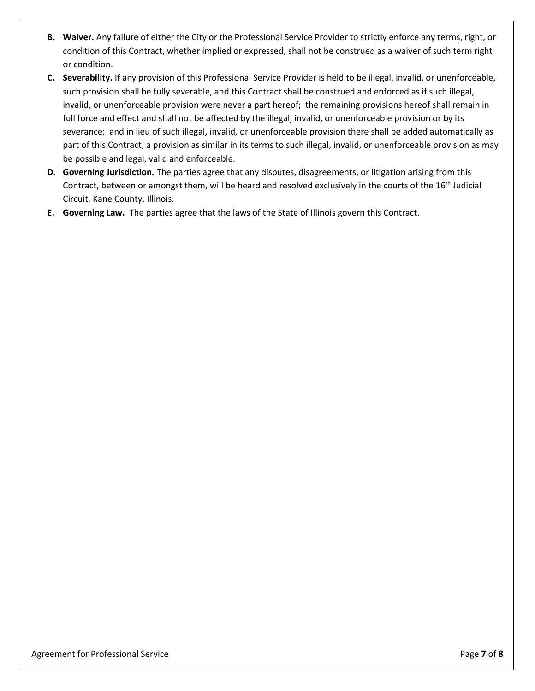- **B. Waiver.** Any failure of either the City or the Professional Service Provider to strictly enforce any terms, right, or condition of this Contract, whether implied or expressed, shall not be construed as a waiver of such term right or condition.
- **C. Severability.** If any provision of this Professional Service Provider is held to be illegal, invalid, or unenforceable, such provision shall be fully severable, and this Contract shall be construed and enforced as if such illegal, invalid, or unenforceable provision were never a part hereof; the remaining provisions hereof shall remain in full force and effect and shall not be affected by the illegal, invalid, or unenforceable provision or by its severance; and in lieu of such illegal, invalid, or unenforceable provision there shall be added automatically as part of this Contract, a provision as similar in its terms to such illegal, invalid, or unenforceable provision as may be possible and legal, valid and enforceable.
- **D. Governing Jurisdiction.** The parties agree that any disputes, disagreements, or litigation arising from this Contract, between or amongst them, will be heard and resolved exclusively in the courts of the 16<sup>th</sup> Judicial Circuit, Kane County, Illinois.
- **E. Governing Law.** The parties agree that the laws of the State of Illinois govern this Contract.